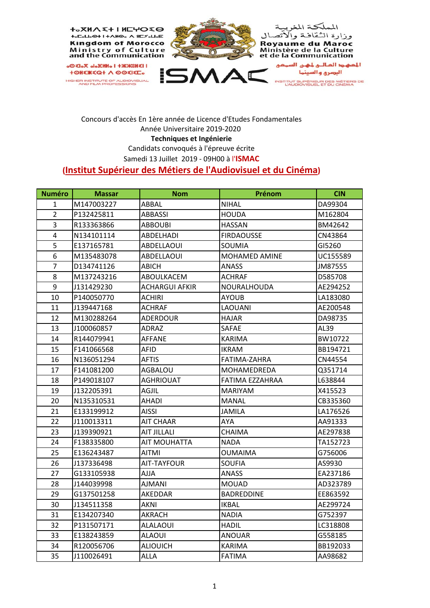

## Concours d'accès En 1ère année de Licence d'Etudes Fondamentales Année Universitaire 2019‐2020 **Techniques et Ingénierie** Candidats convoqués à l'épreuve écrite Samedi 13 Juillet 2019 ‐ 09H00 à l'**ISMAC**

## **(Institut Supérieur des Métiers de l'Audiovisuel et du Cinéma)**

| <b>Numéro</b>  | <b>Massar</b> | <b>Nom</b>            | Prénom               | <b>CIN</b> |
|----------------|---------------|-----------------------|----------------------|------------|
| 1              | M147003227    | ABBAL                 | <b>NIHAL</b>         | DA99304    |
| $\overline{2}$ | P132425811    | ABBASSI               | <b>HOUDA</b>         | M162804    |
| 3              | R133363866    | <b>ABBOUBI</b>        | <b>HASSAN</b>        | BM42642    |
| 4              | N134101114    | ABDELHADI             | <b>FIRDAOUSSE</b>    | CN43864    |
| 5              | E137165781    | <b>ABDELLAOUI</b>     | <b>SOUMIA</b>        | GI5260     |
| 6              | M135483078    | ABDELLAOUI            | <b>MOHAMED AMINE</b> | UC155589   |
| $\overline{7}$ | D134741126    | ABICH                 | <b>ANASS</b>         | JM87555    |
| 8              | M137243216    | ABOULKACEM            | ACHRAF               | D585708    |
| 9              | J131429230    | <b>ACHARGUI AFKIR</b> | <b>NOURALHOUDA</b>   | AE294252   |
| 10             | P140050770    | <b>ACHIRI</b>         | <b>AYOUB</b>         | LA183080   |
| 11             | J139447168    | ACHRAF                | <b>LAOUANI</b>       | AE200548   |
| 12             | M130288264    | ADERDOUR              | <b>HAJAR</b>         | DA98735    |
| 13             | J100060857    | ADRAZ                 | <b>SAFAE</b>         | AL39       |
| 14             | R144079941    | <b>AFFANE</b>         | KARIMA               | BW10722    |
| 15             | F141066568    | AFID                  | <b>IKRAM</b>         | BB194721   |
| 16             | N136051294    | <b>AFTIS</b>          | FATIMA-ZAHRA         | CN44554    |
| 17             | F141081200    | <b>AGBALOU</b>        | MOHAMEDREDA          | Q351714    |
| 18             | P149018107    | <b>AGHRIOUAT</b>      | FATIMA EZZAHRAA      | L638844    |
| 19             | J132205391    | <b>AGJIL</b>          | <b>MARIYAM</b>       | X415523    |
| 20             | N135310531    | AHADI                 | <b>MANAL</b>         | CB335360   |
| 21             | E133199912    | AISSI                 | JAMILA               | LA176526   |
| 22             | J110013311    | AIT CHAAR             | AYA                  | AA91333    |
| 23             | J139390921    | <b>AIT JILLALI</b>    | <b>CHAIMA</b>        | AE297838   |
| 24             | F138335800    | AIT MOUHATTA          | <b>NADA</b>          | TA152723   |
| 25             | E136243487    | AITMI                 | <b>OUMAIMA</b>       | G756006    |
| 26             | J137336498    | AIT-TAYFOUR           | <b>SOUFIA</b>        | AS9930     |
| 27             | G133105938    | AJJA                  | <b>ANASS</b>         | EA237186   |
| 28             | J144039998    | <b>AJMANI</b>         | <b>MOUAD</b>         | AD323789   |
| 29             | G137501258    | AKEDDAR               | <b>BADREDDINE</b>    | EE863592   |
| 30             | J134511358    | AKNI                  | <b>IKBAL</b>         | AE299724   |
| 31             | E134207340    | <b>AKRACH</b>         | <b>NADIA</b>         | G752397    |
| 32             | P131507171    | <b>ALALAOUI</b>       | <b>HADIL</b>         | LC318808   |
| 33             | E138243859    | ALAOUI                | <b>ANOUAR</b>        | G558185    |
| 34             | R120056706    | ALIOUICH              | <b>KARIMA</b>        | BB192033   |
| 35             | J110026491    | <b>ALLA</b>           | <b>FATIMA</b>        | AA98682    |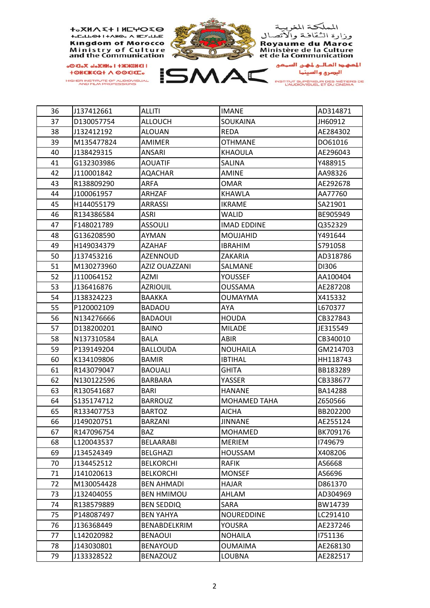

| 36 | J137412661 | <b>ALLITI</b>        | <b>IMANE</b>        | AD314871 |
|----|------------|----------------------|---------------------|----------|
| 37 | D130057754 | <b>ALLOUCH</b>       | SOUKAINA            | JH60912  |
| 38 | J132412192 | <b>ALOUAN</b>        | <b>REDA</b>         | AE284302 |
| 39 | M135477824 | <b>AMIMER</b>        | <b>OTHMANE</b>      | DO61016  |
| 40 | J138429315 | ANSARI               | KHAOULA             | AE296043 |
| 41 | G132303986 | <b>AOUATIF</b>       | SALINA              | Y488915  |
| 42 | J110001842 | AQACHAR              | <b>AMINE</b>        | AA98326  |
| 43 | R138809290 | ARFA                 | <b>OMAR</b>         | AE292678 |
| 44 | J100061957 | <b>ARHZAF</b>        | <b>KHAWLA</b>       | AA77760  |
| 45 | H144055179 | ARRASSI              | <b>IKRAME</b>       | SA21901  |
| 46 | R134386584 | ASRI                 | WALID               | BE905949 |
| 47 | F148021789 | <b>ASSOULI</b>       | <b>IMAD EDDINE</b>  | Q352329  |
| 48 | G136208590 | AYMAN                | <b>MOUJAHID</b>     | Y491644  |
| 49 | H149034379 | <b>AZAHAF</b>        | <b>IBRAHIM</b>      | S791058  |
| 50 | J137453216 | AZENNOUD             | ZAKARIA             | AD318786 |
| 51 | M130273960 | <b>AZIZ OUAZZANI</b> | SALMANE             | DI306    |
| 52 | J110064152 | AZMI                 | YOUSSEF             | AA100404 |
| 53 | J136416876 | <b>AZRIOUIL</b>      | <b>OUSSAMA</b>      | AE287208 |
| 54 | J138324223 | <b>BAAKKA</b>        | <b>OUMAYMA</b>      | X415332  |
| 55 | P120002109 | <b>BADAOU</b>        | AYA                 | L670377  |
| 56 | N134276666 | <b>BADAOUI</b>       | <b>HOUDA</b>        | CB327843 |
| 57 | D138200201 | <b>BAINO</b>         | <b>MILADE</b>       | JE315549 |
| 58 | N137310584 | BALA                 | <b>ABIR</b>         | CB340010 |
| 59 | P139149204 | <b>BALLOUDA</b>      | <b>NOUHAILA</b>     | GM214703 |
| 60 | K134109806 | <b>BAMIR</b>         | <b>IBTIHAL</b>      | HH118743 |
| 61 | R143079047 | <b>BAOUALI</b>       | <b>GHITA</b>        | BB183289 |
| 62 | N130122596 | BARBARA              | YASSER              | CB338677 |
| 63 | R130541687 | BARI                 | <b>HANANE</b>       | BA14288  |
| 64 | S135174712 | <b>BARROUZ</b>       | <b>MOHAMED TAHA</b> | Z650566  |
| 65 | R133407753 | <b>BARTOZ</b>        | <b>AICHA</b>        | BB202200 |
| 66 | J149020751 | BARZANI              | <b>JINNANE</b>      | AE255124 |
| 67 | R147096754 | <b>BAZ</b>           | <b>MOHAMED</b>      | BK709176 |
| 68 | L120043537 | BELAARABI            | <b>MERIEM</b>       | 1749679  |
| 69 | J134524349 | <b>BELGHAZI</b>      | <b>HOUSSAM</b>      | X408206  |
| 70 | J134452512 | <b>BELKORCHI</b>     | <b>RAFIK</b>        | AS6668   |
| 71 | J141020613 | <b>BELKORCHI</b>     | <b>MONSEF</b>       | AS6696   |
| 72 | M130054428 | <b>BEN AHMADI</b>    | <b>HAJAR</b>        | D861370  |
| 73 | J132404055 | <b>BEN HMIMOU</b>    | AHLAM               | AD304969 |
| 74 | R138579889 | <b>BEN SEDDIQ</b>    | SARA                | BW14739  |
| 75 | P148087497 | <b>BEN YAHYA</b>     | <b>NOUREDDINE</b>   | LC291410 |
| 76 | J136368449 | BENABDELKRIM         | YOUSRA              | AE237246 |
| 77 | L142020982 | <b>BENAOUI</b>       | <b>NOHAILA</b>      | 1751136  |
| 78 | J143030801 | <b>BENAYOUD</b>      | <b>OUMAIMA</b>      | AE268130 |
| 79 | J133328522 | <b>BENAZOUZ</b>      | LOUBNA              | AE282517 |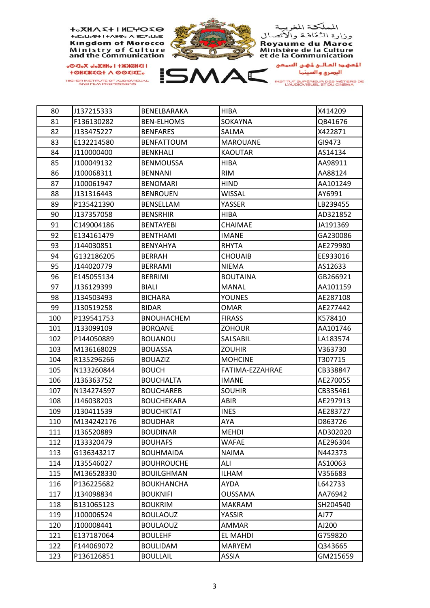

HIGHER INSTITUTE OF AUDIOVISUAL<br>AND FILM PROFESSIONS



| 80  | J137215333 | BENELBARAKA       | HIBA            | X414209  |
|-----|------------|-------------------|-----------------|----------|
| 81  | F136130282 | <b>BEN-ELHOMS</b> | SOKAYNA         | QB41676  |
| 82  | J133475227 | <b>BENFARES</b>   | SALMA           | X422871  |
| 83  | E132214580 | <b>BENFATTOUM</b> | <b>MAROUANE</b> | GI9473   |
| 84  | J110000400 | <b>BENKHALI</b>   | <b>KAOUTAR</b>  | AS14134  |
| 85  | J100049132 | <b>BENMOUSSA</b>  | <b>HIBA</b>     | AA98911  |
| 86  | J100068311 | <b>BENNANI</b>    | <b>RIM</b>      | AA88124  |
| 87  | J100061947 | <b>BENOMARI</b>   | <b>HIND</b>     | AA101249 |
| 88  | J131316443 | <b>BENROUEN</b>   | WISSAL          | AY6991   |
| 89  | P135421390 | <b>BENSELLAM</b>  | YASSER          | LB239455 |
| 90  | J137357058 | <b>BENSRHIR</b>   | HIBA            | AD321852 |
| 91  | C149004186 | <b>BENTAYEBI</b>  | CHAIMAE         | JA191369 |
| 92  | E134161479 | <b>BENTHAMI</b>   | <b>IMANE</b>    | GA230086 |
| 93  | J144030851 | BENYAHYA          | <b>RHYTA</b>    | AE279980 |
| 94  | G132186205 | <b>BERRAH</b>     | <b>CHOUAIB</b>  | EE933016 |
| 95  | J144020779 | <b>BERRAMI</b>    | <b>NIEMA</b>    | AS12633  |
| 96  | E145055134 | <b>BERRIMI</b>    | <b>BOUTAINA</b> | GB266921 |
| 97  | J136129399 | <b>BIALI</b>      | <b>MANAL</b>    | AA101159 |
| 98  | J134503493 | <b>BICHARA</b>    | <b>YOUNES</b>   | AE287108 |
| 99  | J130519258 | <b>BIDAR</b>      | <b>OMAR</b>     | AE277442 |
| 100 | P139541753 | <b>BNOUHACHEM</b> | <b>FIRASS</b>   | K578410  |
| 101 | J133099109 | <b>BORQANE</b>    | <b>ZOHOUR</b>   | AA101746 |
| 102 | P144050889 | <b>BOUANOU</b>    | SALSABIL        | LA183574 |
| 103 | M136168029 | <b>BOUASSA</b>    | <b>ZOUHIR</b>   | V363730  |
| 104 | R135296266 | <b>BOUAZIZ</b>    | <b>MOHCINE</b>  | T307715  |
| 105 | N133260844 | <b>BOUCH</b>      | FATIMA-EZZAHRAE | CB338847 |
| 106 | J136363752 | <b>BOUCHALTA</b>  | <b>IMANE</b>    | AE270055 |
| 107 | N134274597 | <b>BOUCHAREB</b>  | <b>SOUHIR</b>   | CB335461 |
| 108 | J146038203 | <b>BOUCHEKARA</b> | <b>ABIR</b>     | AE297913 |
| 109 | J130411539 | <b>BOUCHKTAT</b>  | <b>INES</b>     | AE283727 |
| 110 | M134242176 | <b>BOUDHAR</b>    | AYA             | D863726  |
| 111 | J136520889 | <b>BOUDINAR</b>   | <b>MEHDI</b>    | AD302020 |
| 112 | J133320479 | <b>BOUHAFS</b>    | <b>WAFAE</b>    | AE296304 |
| 113 | G136343217 | <b>BOUHMAIDA</b>  | <b>NAIMA</b>    | N442373  |
| 114 | J135546027 | <b>BOUHROUCHE</b> | ALI             | AS10063  |
| 115 | M136528330 | <b>BOUILGHMAN</b> | <b>ILHAM</b>    | V356683  |
| 116 | P136225682 | <b>BOUKHANCHA</b> | AYDA            | L642733  |
| 117 | J134098834 | <b>BOUKNIFI</b>   | <b>OUSSAMA</b>  | AA76942  |
| 118 | B131065123 | <b>BOUKRIM</b>    | <b>MAKRAM</b>   | SH204540 |
| 119 | J100006524 | <b>BOULAOUZ</b>   | YASSIR          | AJ77     |
| 120 | J100008441 | <b>BOULAOUZ</b>   | AMMAR           | AJ200    |
| 121 | E137187064 | <b>BOULEHF</b>    | EL MAHDI        | G759820  |
| 122 | F144069072 | <b>BOULIDAM</b>   | <b>MARYEM</b>   | Q343665  |
| 123 | P136126851 | <b>BOULLAIL</b>   | <b>ASSIA</b>    | GM215659 |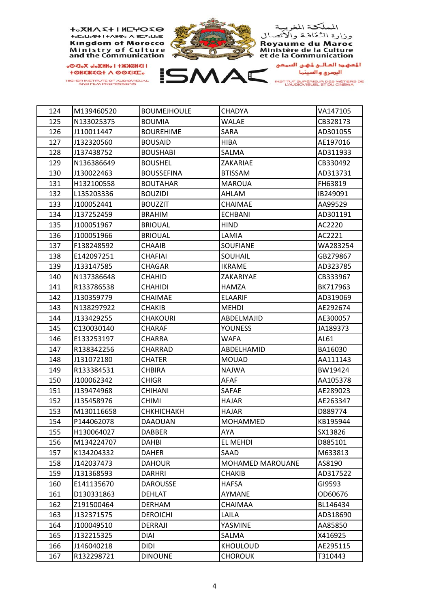

| 124<br>M139460520<br><b>BOUMEJHOULE</b><br><b>CHADYA</b><br>125<br>N133025375<br><b>BOUMIA</b><br><b>WALAE</b><br>126<br>J110011447<br><b>BOUREHIME</b><br>SARA<br>127<br>J132320560<br><b>BOUSAID</b><br><b>HIBA</b><br>128<br>J137438752<br><b>BOUSHABI</b><br>SALMA<br>129<br>N136386649<br><b>BOUSHEL</b><br>ZAKARIAE<br>130<br>J130022463<br><b>BOUSSEFINA</b><br><b>BTISSAM</b><br>131<br>H132100558<br>FH63819<br><b>BOUTAHAR</b><br><b>MAROUA</b><br>132<br>L135203336<br>AHLAM<br><b>BOUZIDI</b><br>IB249091<br>133<br>J100052441<br><b>BOUZZIT</b><br>CHAIMAE<br>AA99529<br>134<br>J137252459<br><b>BRAHIM</b><br><b>ECHBANI</b><br>135<br>J100051967<br><b>BRIOUAL</b><br>HIND<br>AC2220<br>136<br>J100051966<br><b>BRIOUAL</b><br>LAMIA<br>AC2221<br>137<br><b>CHAAIB</b><br>F138248592<br><b>SOUFIANE</b><br>138<br>E142097251<br>CHAFIAI<br>SOUHAIL<br>139<br>J133147585<br>CHAGAR<br><b>IKRAME</b><br>140<br>N137386648<br><b>CHAHID</b><br>ZAKARIYAE<br>141<br>R133786538<br><b>CHAHIDI</b><br>HAMZA<br>142<br>J130359779<br>CHAIMAE<br><b>ELAARIF</b><br>143<br>N138297922<br>CHAKIB<br><b>MEHDI</b><br>144<br>J133429255<br><b>CHAKOURI</b><br>ABDELMAJID<br>145<br><b>CHARAF</b><br><b>YOUNESS</b><br>C130030140<br>JA189373<br>146<br>E133253197<br>CHARRA<br>WAFA<br>AL61<br>147<br>R138342256<br>CHARRAD<br>ABDELHAMID<br>BA16030 | VA147105<br>CB328173<br>AD301055<br>AE197016<br>AD311933<br>CB330492<br>AD313731<br>AD301191<br>WA283254<br>GB279867<br>AD323785 |
|---------------------------------------------------------------------------------------------------------------------------------------------------------------------------------------------------------------------------------------------------------------------------------------------------------------------------------------------------------------------------------------------------------------------------------------------------------------------------------------------------------------------------------------------------------------------------------------------------------------------------------------------------------------------------------------------------------------------------------------------------------------------------------------------------------------------------------------------------------------------------------------------------------------------------------------------------------------------------------------------------------------------------------------------------------------------------------------------------------------------------------------------------------------------------------------------------------------------------------------------------------------------------------------------------------------------------------------------------------|----------------------------------------------------------------------------------------------------------------------------------|
|                                                                                                                                                                                                                                                                                                                                                                                                                                                                                                                                                                                                                                                                                                                                                                                                                                                                                                                                                                                                                                                                                                                                                                                                                                                                                                                                                         |                                                                                                                                  |
|                                                                                                                                                                                                                                                                                                                                                                                                                                                                                                                                                                                                                                                                                                                                                                                                                                                                                                                                                                                                                                                                                                                                                                                                                                                                                                                                                         |                                                                                                                                  |
|                                                                                                                                                                                                                                                                                                                                                                                                                                                                                                                                                                                                                                                                                                                                                                                                                                                                                                                                                                                                                                                                                                                                                                                                                                                                                                                                                         |                                                                                                                                  |
|                                                                                                                                                                                                                                                                                                                                                                                                                                                                                                                                                                                                                                                                                                                                                                                                                                                                                                                                                                                                                                                                                                                                                                                                                                                                                                                                                         |                                                                                                                                  |
|                                                                                                                                                                                                                                                                                                                                                                                                                                                                                                                                                                                                                                                                                                                                                                                                                                                                                                                                                                                                                                                                                                                                                                                                                                                                                                                                                         |                                                                                                                                  |
|                                                                                                                                                                                                                                                                                                                                                                                                                                                                                                                                                                                                                                                                                                                                                                                                                                                                                                                                                                                                                                                                                                                                                                                                                                                                                                                                                         |                                                                                                                                  |
|                                                                                                                                                                                                                                                                                                                                                                                                                                                                                                                                                                                                                                                                                                                                                                                                                                                                                                                                                                                                                                                                                                                                                                                                                                                                                                                                                         |                                                                                                                                  |
|                                                                                                                                                                                                                                                                                                                                                                                                                                                                                                                                                                                                                                                                                                                                                                                                                                                                                                                                                                                                                                                                                                                                                                                                                                                                                                                                                         |                                                                                                                                  |
|                                                                                                                                                                                                                                                                                                                                                                                                                                                                                                                                                                                                                                                                                                                                                                                                                                                                                                                                                                                                                                                                                                                                                                                                                                                                                                                                                         |                                                                                                                                  |
|                                                                                                                                                                                                                                                                                                                                                                                                                                                                                                                                                                                                                                                                                                                                                                                                                                                                                                                                                                                                                                                                                                                                                                                                                                                                                                                                                         |                                                                                                                                  |
|                                                                                                                                                                                                                                                                                                                                                                                                                                                                                                                                                                                                                                                                                                                                                                                                                                                                                                                                                                                                                                                                                                                                                                                                                                                                                                                                                         |                                                                                                                                  |
|                                                                                                                                                                                                                                                                                                                                                                                                                                                                                                                                                                                                                                                                                                                                                                                                                                                                                                                                                                                                                                                                                                                                                                                                                                                                                                                                                         |                                                                                                                                  |
|                                                                                                                                                                                                                                                                                                                                                                                                                                                                                                                                                                                                                                                                                                                                                                                                                                                                                                                                                                                                                                                                                                                                                                                                                                                                                                                                                         |                                                                                                                                  |
|                                                                                                                                                                                                                                                                                                                                                                                                                                                                                                                                                                                                                                                                                                                                                                                                                                                                                                                                                                                                                                                                                                                                                                                                                                                                                                                                                         |                                                                                                                                  |
|                                                                                                                                                                                                                                                                                                                                                                                                                                                                                                                                                                                                                                                                                                                                                                                                                                                                                                                                                                                                                                                                                                                                                                                                                                                                                                                                                         |                                                                                                                                  |
|                                                                                                                                                                                                                                                                                                                                                                                                                                                                                                                                                                                                                                                                                                                                                                                                                                                                                                                                                                                                                                                                                                                                                                                                                                                                                                                                                         |                                                                                                                                  |
|                                                                                                                                                                                                                                                                                                                                                                                                                                                                                                                                                                                                                                                                                                                                                                                                                                                                                                                                                                                                                                                                                                                                                                                                                                                                                                                                                         | CB333967                                                                                                                         |
|                                                                                                                                                                                                                                                                                                                                                                                                                                                                                                                                                                                                                                                                                                                                                                                                                                                                                                                                                                                                                                                                                                                                                                                                                                                                                                                                                         | BK717963                                                                                                                         |
|                                                                                                                                                                                                                                                                                                                                                                                                                                                                                                                                                                                                                                                                                                                                                                                                                                                                                                                                                                                                                                                                                                                                                                                                                                                                                                                                                         | AD319069                                                                                                                         |
|                                                                                                                                                                                                                                                                                                                                                                                                                                                                                                                                                                                                                                                                                                                                                                                                                                                                                                                                                                                                                                                                                                                                                                                                                                                                                                                                                         | AE292674                                                                                                                         |
|                                                                                                                                                                                                                                                                                                                                                                                                                                                                                                                                                                                                                                                                                                                                                                                                                                                                                                                                                                                                                                                                                                                                                                                                                                                                                                                                                         | AE300057                                                                                                                         |
|                                                                                                                                                                                                                                                                                                                                                                                                                                                                                                                                                                                                                                                                                                                                                                                                                                                                                                                                                                                                                                                                                                                                                                                                                                                                                                                                                         |                                                                                                                                  |
|                                                                                                                                                                                                                                                                                                                                                                                                                                                                                                                                                                                                                                                                                                                                                                                                                                                                                                                                                                                                                                                                                                                                                                                                                                                                                                                                                         |                                                                                                                                  |
|                                                                                                                                                                                                                                                                                                                                                                                                                                                                                                                                                                                                                                                                                                                                                                                                                                                                                                                                                                                                                                                                                                                                                                                                                                                                                                                                                         |                                                                                                                                  |
| 148<br>J131072180<br><b>CHATER</b><br><b>MOUAD</b>                                                                                                                                                                                                                                                                                                                                                                                                                                                                                                                                                                                                                                                                                                                                                                                                                                                                                                                                                                                                                                                                                                                                                                                                                                                                                                      | AA111143                                                                                                                         |
| 149<br><b>CHBIRA</b><br><b>NAJWA</b><br>R133384531                                                                                                                                                                                                                                                                                                                                                                                                                                                                                                                                                                                                                                                                                                                                                                                                                                                                                                                                                                                                                                                                                                                                                                                                                                                                                                      | BW19424                                                                                                                          |
| 150<br>J100062342<br><b>CHIGR</b><br><b>AFAF</b>                                                                                                                                                                                                                                                                                                                                                                                                                                                                                                                                                                                                                                                                                                                                                                                                                                                                                                                                                                                                                                                                                                                                                                                                                                                                                                        | AA105378                                                                                                                         |
| 151<br>J139474968<br>CHIHANI<br>SAFAE                                                                                                                                                                                                                                                                                                                                                                                                                                                                                                                                                                                                                                                                                                                                                                                                                                                                                                                                                                                                                                                                                                                                                                                                                                                                                                                   | AE289023                                                                                                                         |
| 152<br>J135458976<br><b>CHIMI</b><br><b>HAJAR</b>                                                                                                                                                                                                                                                                                                                                                                                                                                                                                                                                                                                                                                                                                                                                                                                                                                                                                                                                                                                                                                                                                                                                                                                                                                                                                                       | AE263347                                                                                                                         |
| 153<br>M130116658<br><b>СНКНІСНАКН</b><br>HAJAR<br>D889774                                                                                                                                                                                                                                                                                                                                                                                                                                                                                                                                                                                                                                                                                                                                                                                                                                                                                                                                                                                                                                                                                                                                                                                                                                                                                              |                                                                                                                                  |
| 154<br>P144062078<br><b>DAAOUAN</b><br><b>MOHAMMED</b>                                                                                                                                                                                                                                                                                                                                                                                                                                                                                                                                                                                                                                                                                                                                                                                                                                                                                                                                                                                                                                                                                                                                                                                                                                                                                                  | KB195944                                                                                                                         |
| 155<br>H130064027<br><b>DABBER</b><br><b>AYA</b><br>SX13826                                                                                                                                                                                                                                                                                                                                                                                                                                                                                                                                                                                                                                                                                                                                                                                                                                                                                                                                                                                                                                                                                                                                                                                                                                                                                             |                                                                                                                                  |
| 156<br>M134224707<br><b>DAHBI</b><br>EL MEHDI<br>D885101                                                                                                                                                                                                                                                                                                                                                                                                                                                                                                                                                                                                                                                                                                                                                                                                                                                                                                                                                                                                                                                                                                                                                                                                                                                                                                |                                                                                                                                  |
| 157<br>K134204332<br><b>DAHER</b><br>SAAD<br>M633813                                                                                                                                                                                                                                                                                                                                                                                                                                                                                                                                                                                                                                                                                                                                                                                                                                                                                                                                                                                                                                                                                                                                                                                                                                                                                                    |                                                                                                                                  |
| 158<br>J142037473<br>AS8190<br><b>DAHOUR</b><br><b>MOHAMED MAROUANE</b>                                                                                                                                                                                                                                                                                                                                                                                                                                                                                                                                                                                                                                                                                                                                                                                                                                                                                                                                                                                                                                                                                                                                                                                                                                                                                 |                                                                                                                                  |
| 159<br>J131368593<br><b>DARHRI</b><br><b>CHAKIB</b>                                                                                                                                                                                                                                                                                                                                                                                                                                                                                                                                                                                                                                                                                                                                                                                                                                                                                                                                                                                                                                                                                                                                                                                                                                                                                                     |                                                                                                                                  |
| 160<br>GI9593<br>E141135670<br><b>DAROUSSE</b><br><b>HAFSA</b>                                                                                                                                                                                                                                                                                                                                                                                                                                                                                                                                                                                                                                                                                                                                                                                                                                                                                                                                                                                                                                                                                                                                                                                                                                                                                          | AD317522                                                                                                                         |
|                                                                                                                                                                                                                                                                                                                                                                                                                                                                                                                                                                                                                                                                                                                                                                                                                                                                                                                                                                                                                                                                                                                                                                                                                                                                                                                                                         |                                                                                                                                  |
| 161<br><b>AYMANE</b><br>OD60676<br>D130331863<br><b>DEHLAT</b>                                                                                                                                                                                                                                                                                                                                                                                                                                                                                                                                                                                                                                                                                                                                                                                                                                                                                                                                                                                                                                                                                                                                                                                                                                                                                          |                                                                                                                                  |
| 162<br>Z191500464<br><b>DERHAM</b><br>CHAIMAA<br>BL146434                                                                                                                                                                                                                                                                                                                                                                                                                                                                                                                                                                                                                                                                                                                                                                                                                                                                                                                                                                                                                                                                                                                                                                                                                                                                                               |                                                                                                                                  |
| 163<br>LAILA<br>J132371575<br><b>DEROICHI</b>                                                                                                                                                                                                                                                                                                                                                                                                                                                                                                                                                                                                                                                                                                                                                                                                                                                                                                                                                                                                                                                                                                                                                                                                                                                                                                           | AD318690                                                                                                                         |
| 164<br>J100049510<br>DERRAJI<br>YASMINE<br>AA85850                                                                                                                                                                                                                                                                                                                                                                                                                                                                                                                                                                                                                                                                                                                                                                                                                                                                                                                                                                                                                                                                                                                                                                                                                                                                                                      |                                                                                                                                  |
| 165<br><b>DIAI</b><br>SALMA<br>X416925<br>J132215325                                                                                                                                                                                                                                                                                                                                                                                                                                                                                                                                                                                                                                                                                                                                                                                                                                                                                                                                                                                                                                                                                                                                                                                                                                                                                                    |                                                                                                                                  |
| 166<br><b>DIDI</b><br><b>KHOULOUD</b><br>J146040218                                                                                                                                                                                                                                                                                                                                                                                                                                                                                                                                                                                                                                                                                                                                                                                                                                                                                                                                                                                                                                                                                                                                                                                                                                                                                                     | AE295115                                                                                                                         |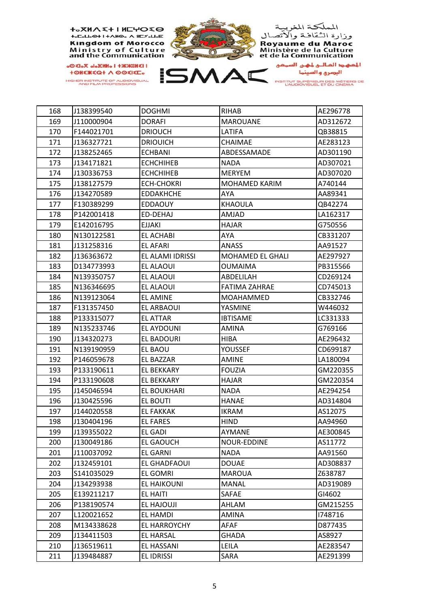

| 168 | J138399540 | <b>DOGHMI</b>      | <b>RIHAB</b>            | AE296778 |
|-----|------------|--------------------|-------------------------|----------|
| 169 | J110000904 | <b>DORAFI</b>      | <b>MAROUANE</b>         | AD312672 |
| 170 | F144021701 | <b>DRIOUCH</b>     | LATIFA                  | QB38815  |
| 171 | J136327721 | <b>DRIOUICH</b>    | <b>CHAIMAE</b>          | AE283123 |
| 172 | J138252465 | <b>ECHBANI</b>     | ABDESSAMADE             | AD301190 |
| 173 | J134171821 | <b>ECHCHIHEB</b>   | <b>NADA</b>             | AD307021 |
| 174 | J130336753 | <b>ECHCHIHEB</b>   | <b>MERYEM</b>           | AD307020 |
| 175 | J138127579 | <b>ECH-CHOKRI</b>  | <b>MOHAMED KARIM</b>    | A740144  |
| 176 | J134270589 | <b>EDDAKHCHE</b>   | AYA                     | AA89341  |
| 177 | F130389299 | <b>EDDAOUY</b>     | <b>KHAOULA</b>          | QB42274  |
| 178 | P142001418 | ED-DEHAJ           | <b>AMJAD</b>            | LA162317 |
| 179 | E142016795 | <b>EJJAKI</b>      | <b>HAJAR</b>            | G750556  |
| 180 | N130122581 | EL ACHABI          | AYA                     | CB331207 |
| 181 | J131258316 | <b>EL AFARI</b>    | <b>ANASS</b>            | AA91527  |
| 182 | J136363672 | EL ALAMI IDRISSI   | <b>MOHAMED EL GHALI</b> | AE297927 |
| 183 | D134773993 | EL ALAOUI          | <b>OUMAIMA</b>          | PB315566 |
| 184 | N139350757 | EL ALAOUI          | ABDELILAH               | CD269124 |
| 185 | N136346695 | EL ALAOUI          | <b>FATIMA ZAHRAE</b>    | CD745013 |
| 186 | N139123064 | EL AMINE           | MOAHAMMED               | CB332746 |
| 187 | F131357450 | EL ARBAOUI         | <b>YASMINE</b>          | W446032  |
| 188 | P133315077 | EL ATTAR           | <b>IBTISAME</b>         | LC331333 |
| 189 | N135233746 | EL AYDOUNI         | AMINA                   | G769166  |
| 190 | J134320273 | EL BADOURI         | HIBA                    | AE296432 |
| 191 | N139190959 | EL BAOU            | <b>YOUSSEF</b>          | CD699187 |
| 192 | P146059678 | EL BAZZAR          | <b>AMINE</b>            | LA180094 |
| 193 | P133190611 | EL BEKKARY         | <b>FOUZIA</b>           | GM220355 |
| 194 | P133190608 | EL BEKKARY         | <b>HAJAR</b>            | GM220354 |
| 195 | J145046594 | <b>EL BOUKHARI</b> | <b>NADA</b>             | AE294254 |
| 196 | J130425596 | EL BOUTI           | <b>HANAE</b>            | AD314804 |
| 197 | J144020558 | <b>EL FAKKAK</b>   | <b>IKRAM</b>            | AS12075  |
| 198 | J130404196 | <b>EL FARES</b>    | HIND                    | AA94960  |
| 199 | J139355022 | <b>EL GADI</b>     | AYMANE                  | AE300845 |
| 200 | J130049186 | <b>EL GAOUCH</b>   | NOUR-EDDINE             | AS11772  |
| 201 | J110037092 | <b>EL GARNI</b>    | <b>NADA</b>             | AA91560  |
| 202 | J132459101 | EL GHADFAOUI       | <b>DOUAE</b>            | AD308837 |
| 203 | S141035029 | EL GOMRI           | <b>MAROUA</b>           | Z638787  |
| 204 | J134293938 | <b>EL HAIKOUNI</b> | <b>MANAL</b>            | AD319089 |
| 205 | E139211217 | EL HAITI           | SAFAE                   | GI4602   |
| 206 | P138190574 | EL HAJOUJI         | AHLAM                   | GM215255 |
| 207 | L120021652 | EL HAMDI           | AMINA                   | 1748716  |
| 208 | M134338628 | EL HARROYCHY       | AFAF                    | D877435  |
| 209 | J134411503 | <b>EL HARSAL</b>   | <b>GHADA</b>            | AS8927   |
| 210 | J136519611 | EL HASSANI         | LEILA                   | AE283547 |
| 211 | J139484887 | EL IDRISSI         | SARA                    | AE291399 |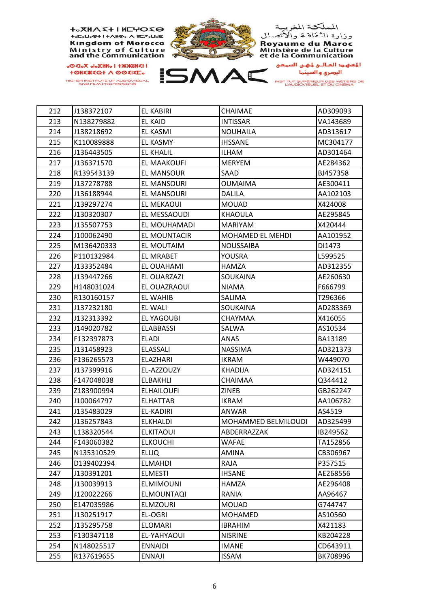

| 212 | J138372107 | <b>EL KABIRI</b>   | CHAIMAE             | AD309093 |
|-----|------------|--------------------|---------------------|----------|
| 213 | N138279882 | <b>EL KAID</b>     | <b>INTISSAR</b>     | VA143689 |
| 214 | J138218692 | <b>EL KASMI</b>    | NOUHAILA            | AD313617 |
| 215 | K110089888 | EL KASMY           | <b>IHSSANE</b>      | MC304177 |
| 216 | J136443505 | EL KHALIL          | ILHAM               | AD301464 |
| 217 | J136371570 | <b>EL MAAKOUFI</b> | <b>MERYEM</b>       | AE284362 |
| 218 | R139543139 | EL MANSOUR         | SAAD                | BJ457358 |
| 219 | J137278788 | EL MANSOURI        | OUMAIMA             | AE300411 |
| 220 | J136188944 | EL MANSOURI        | DALILA              | AA102103 |
| 221 | J139297274 | EL MEKAOUI         | <b>MOUAD</b>        | X424008  |
| 222 | J130320307 | EL MESSAOUDI       | KHAOULA             | AE295845 |
| 223 | J135507753 | EL MOUHAMADI       | MARIYAM             | X420444  |
| 224 | J100062490 | EL MOUNTACIR       | MOHAMED EL MEHDI    | AA101952 |
| 225 | M136420333 | EL MOUTAIM         | NOUSSAIBA           | DI1473   |
| 226 | P110132984 | EL MRABET          | YOUSRA              | L599525  |
| 227 | J133352484 | EL OUAHAMI         | <b>HAMZA</b>        | AD312355 |
| 228 | J139447266 | EL OUARZAZI        | SOUKAINA            | AE260630 |
| 229 | H148031024 | EL OUAZRAOUI       | NIAMA               | F666799  |
| 230 | R130160157 | EL WAHIB           | SALIMA              | T296366  |
| 231 | J137232180 | EL WALI            | SOUKAINA            | AD283369 |
| 232 | J132313392 | EL YAGOUBI         | CHAYMAA             | X416055  |
| 233 | J149020782 | ELABBASSI          | SALWA               | AS10534  |
| 234 | F132397873 | ELADI              | ANAS                | BA13189  |
| 235 | J131458923 | <b>ELASSALI</b>    | <b>NASSIMA</b>      | AD321373 |
| 236 | F136265573 | ELAZHARI           | IKRAM               | W449070  |
| 237 | J137399916 | EL-AZZOUZY         | KHADIJA             | AD324151 |
| 238 | F147048038 | ELBAKHLI           | CHAIMAA             | Q344412  |
| 239 | Z183900994 | ELHAILOUFI         | ZINEB               | GB262247 |
| 240 | J100064797 | <b>ELHATTAB</b>    | <b>IKRAM</b>        | AA106782 |
| 241 | J135483029 | EL-KADIRI          | ANWAR               | AS4519   |
| 242 | J136257843 | <b>ELKHALDI</b>    | MOHAMMED BELMILOUDI | AD325499 |
| 243 | L138320544 | <b>ELKITAOUI</b>   | ABDERRAZZAK         | IB249562 |
| 244 | F143060382 | <b>ELKOUCHI</b>    | <b>WAFAE</b>        | TA152856 |
| 245 | N135310529 | <b>ELLIQ</b>       | <b>AMINA</b>        | CB306967 |
| 246 | D139402394 | <b>ELMAHDI</b>     | RAJA                | P357515  |
| 247 | J130391201 | <b>ELMESTI</b>     | <b>IHSANE</b>       | AE268556 |
| 248 | J130039913 | <b>ELMIMOUNI</b>   | <b>HAMZA</b>        | AE296408 |
| 249 | J120022266 | <b>ELMOUNTAQI</b>  | RANIA               | AA96467  |
| 250 | E147035986 | <b>ELMZOURI</b>    | <b>MOUAD</b>        | G744747  |
| 251 | J130251917 | EL-OGRI            | <b>MOHAMED</b>      | AS10560  |
| 252 | J135295758 | <b>ELOMARI</b>     | <b>IBRAHIM</b>      | X421183  |
| 253 | F130347118 | EL-YAHYAOUI        | <b>NISRINE</b>      | KB204228 |
| 254 | N148025517 | <b>ENNAIDI</b>     | <b>IMANE</b>        | CD643911 |
| 255 | R137619655 | <b>ENNAJI</b>      | <b>ISSAM</b>        | BK708996 |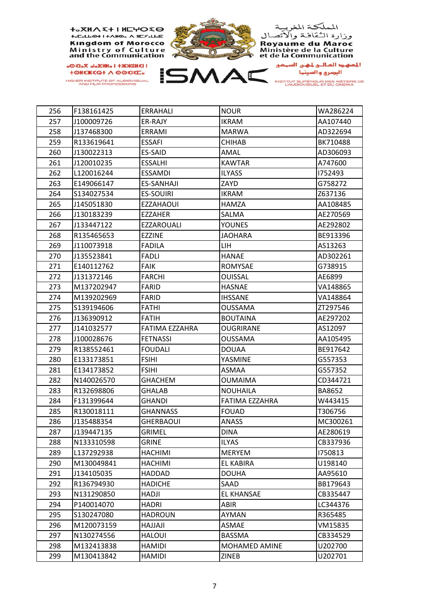

| 256 | F138161425 | ERRAHALI          | NOUR              | WA286224 |
|-----|------------|-------------------|-------------------|----------|
| 257 | J100009726 | ER-RAJY           | <b>IKRAM</b>      | AA107440 |
| 258 | J137468300 | ERRAMI            | <b>MARWA</b>      | AD322694 |
| 259 | R133619641 | <b>ESSAFI</b>     | <b>CHIHAB</b>     | BK710488 |
| 260 | J130022313 | ES-SAID           | AMAL              | AD306093 |
| 261 | J120010235 | <b>ESSALHI</b>    | <b>KAWTAR</b>     | A747600  |
| 262 | L120016244 | <b>ESSAMDI</b>    | <b>ILYASS</b>     | 1752493  |
| 263 | E149066147 | <b>ES-SANHAJI</b> | ZAYD              | G758272  |
| 264 | S134027534 | <b>ES-SOUIRI</b>  | <b>IKRAM</b>      | Z637136  |
| 265 | J145051830 | <b>EZZAHAOUI</b>  | HAMZA             | AA108485 |
| 266 | J130183239 | EZZAHER           | SALMA             | AE270569 |
| 267 | J133447122 | EZZAROUALI        | <b>YOUNES</b>     | AE292802 |
| 268 | R135465653 | EZZINE            | <b>JAOHARA</b>    | BE913396 |
| 269 | J110073918 | <b>FADILA</b>     | LIH.              | AS13263  |
| 270 | J135523841 | <b>FADLI</b>      | HANAE             | AD302261 |
| 271 | E140112762 | <b>FAIK</b>       | ROMYSAE           | G738915  |
| 272 | J131372146 | <b>FARCHI</b>     | <b>OUISSAL</b>    | AE6899   |
| 273 | M137202947 | <b>FARID</b>      | HASNAE            | VA148865 |
| 274 | M139202969 | <b>FARID</b>      | <b>IHSSANE</b>    | VA148864 |
| 275 | S139194606 | <b>FATHI</b>      | <b>OUSSAMA</b>    | ZT297546 |
| 276 | J136390912 | FATIH             | <b>BOUTAINA</b>   | AE297202 |
| 277 | J141032577 | FATIMA EZZAHRA    | <b>OUGRIRANE</b>  | AS12097  |
| 278 | J100028676 | <b>FETNASSI</b>   | <b>OUSSAMA</b>    | AA105495 |
| 279 | R138552461 | <b>FOUDALI</b>    | <b>DOUAA</b>      | BE917642 |
| 280 | E133173851 | <b>FSIHI</b>      | YASMINE           | G557353  |
| 281 | E134173852 | <b>FSIHI</b>      | ASMAA             | G557352  |
| 282 | N140026570 | <b>GHACHEM</b>    | <b>OUMAIMA</b>    | CD344721 |
| 283 | R132698806 | <b>GHALAB</b>     | NOUHAILA          | BA8652   |
| 284 | F131399644 | GHANDI            | FATIMA EZZAHRA    | W443415  |
| 285 | R130018111 | GHANNASS          | <b>FOUAD</b>      | T306756  |
| 286 | J135488354 | <b>GHERBAOUI</b>  | ANASS             | MC300261 |
| 287 | J139447135 | <b>GRIMEL</b>     | <b>DINA</b>       | AE280619 |
| 288 | N133310598 | <b>GRINE</b>      | <b>ILYAS</b>      | CB337936 |
| 289 | L137292938 | <b>HACHIMI</b>    | <b>MERYEM</b>     | 1750813  |
| 290 | M130049841 | <b>HACHIMI</b>    | EL KABIRA         | U198140  |
| 291 | J134105035 | HADDAD            | <b>DOUHA</b>      | AA95610  |
| 292 | R136794930 | <b>HADICHE</b>    | SAAD              | BB179643 |
| 293 | N131290850 | <b>HADJI</b>      | <b>EL KHANSAE</b> | CB335447 |
| 294 | P140014070 | HADRI             | ABIR              | LC344376 |
| 295 | S130247080 | <b>HADROUN</b>    | <b>AYMAN</b>      | R365485  |
| 296 | M120073159 | ILALLAH           | ASMAE             | VM15835  |
| 297 | N130274556 | <b>HALOUI</b>     | <b>BASSMA</b>     | CB334529 |
| 298 | M132413838 | <b>HAMIDI</b>     | MOHAMED AMINE     | U202700  |
| 299 | M130413842 | HAMIDI            | ZINEB             | U202701  |